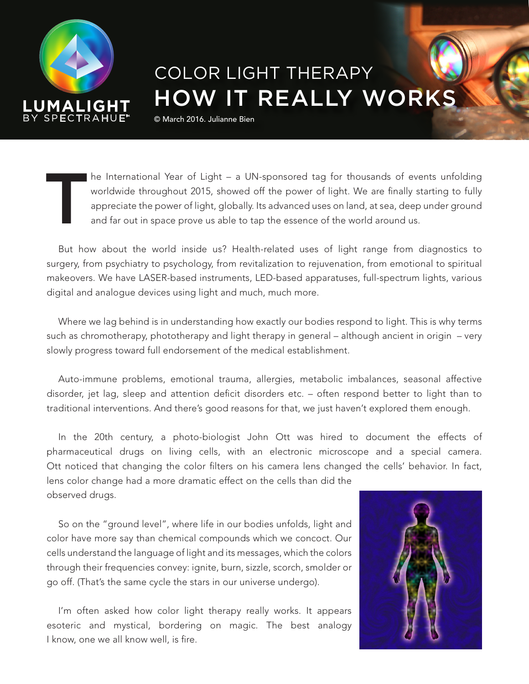

## COLOR LIGHT THERAPY HOW IT REALLY WORKS

© March 2016. Julianne Bien

The International Year of Light – a UN-sponsored tag for thousands of events unfolding<br>worldwide throughout 2015, showed off the power of light. We are finally starting to fully<br>appreciate the power of light, globally. Its worldwide throughout 2015, showed off the power of light. We are finally starting to fully appreciate the power of light, globally. Its advanced uses on land, at sea, deep under ground and far out in space prove us able to tap the essence of the world around us.

But how about the world inside us? Health-related uses of light range from diagnostics to surgery, from psychiatry to psychology, from revitalization to rejuvenation, from emotional to spiritual makeovers. We have LASER-based instruments, LED-based apparatuses, full-spectrum lights, various digital and analogue devices using light and much, much more.

Where we lag behind is in understanding how exactly our bodies respond to light. This is why terms such as chromotherapy, phototherapy and light therapy in general – although ancient in origin – very slowly progress toward full endorsement of the medical establishment.

Auto-immune problems, emotional trauma, allergies, metabolic imbalances, seasonal affective disorder, jet lag, sleep and attention deficit disorders etc. – often respond better to light than to traditional interventions. And there's good reasons for that, we just haven't explored them enough.

In the 20th century, a photo-biologist John Ott was hired to document the effects of pharmaceutical drugs on living cells, with an electronic microscope and a special camera. Ott noticed that changing the color filters on his camera lens changed the cells' behavior. In fact, lens color change had a more dramatic effect on the cells than did the observed drugs.

So on the "ground level", where life in our bodies unfolds, light and color have more say than chemical compounds which we concoct. Our cells understand the language of light and its messages, which the colors through their frequencies convey: ignite, burn, sizzle, scorch, smolder or go off. (That's the same cycle the stars in our universe undergo).

I'm often asked how color light therapy really works. It appears esoteric and mystical, bordering on magic. The best analogy I know, one we all know well, is fire.